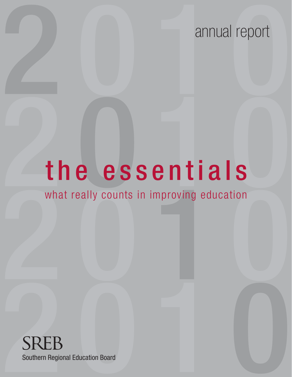# annual report annual report

# The essentials the essentials

# What really counts in improving education what really counts in improving education

SREB<br>Southern Regional Education Board Southern Regional Education Board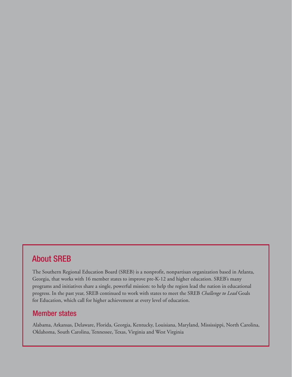## About SREB

The Southern Regional Education Board (SREB) is a nonprofit, nonpartisan organization based in Atlanta, Georgia, that works with 16 member states to improve pre-K-12 and higher education. SREB's many programs and initiatives share a single, powerful mission: to help the region lead the nation in educational progress. In the past year, SREB continued to work with states to meet the SREB *Challenge to Lead* Goals for Education, which call for higher achievement at every level of education.

#### Member states

Alabama, Arkansas, Delaware, Florida, Georgia, Kentucky, Louisiana, Maryland, Mississippi, North Carolina, Oklahoma, South Carolina, Tennessee, Texas, Virginia and West Virginia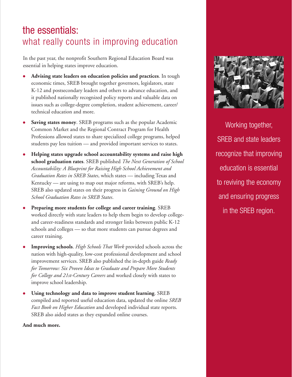# the essentials: what really counts in improving education

In the past year, the nonprofit Southern Regional Education Board was essential in helping states improve education.

- **Advising state leaders on education policies and practices**. In tough economic times, SREB brought together governors, legislators, state K-12 and postsecondary leaders and others to advance education, and it published nationally recognized policy reports and valuable data on issues such as college-degree completion, student achievement, career/ technical education and more.
- **Saving states money**. SREB programs such as the popular Academic Common Market and the Regional Contract Program for Health Professions allowed states to share specialized college programs, helped students pay less tuition — and provided important services to states.
- **Helping states upgrade school accountability systems and raise high school graduation rates**. SREB published *The Next Generation of School Accountability: A Blueprint for Raising High School Achievement and Graduation Rates in SREB States*, which states — including Texas and Kentucky — are using to map out major reforms, with SREB's help. SREB also updated states on their progress in *Gaining Ground on High School Graduation Rates in SREB States*.
- **Preparing more students for college and career training**. SREB worked directly with state leaders to help them begin to develop collegeand career-readiness standards and stronger links between public K-12 schools and colleges — so that more students can pursue degrees and career training.
- **Improving schools**. *High Schools That Work* provided schools across the nation with high-quality, low-cost professional development and school improvement services. SREB also published the in-depth guide *Ready for Tomorrow: Six Proven Ideas to Graduate and Prepare More Students for College and 21st-Century Careers* and worked closely with states to improve school leadership.
- **Using technology and data to improve student learning**. SREB compiled and reported useful education data, updated the online *SREB Fact Book on Higher Education* and developed individual state reports. SREB also aided states as they expanded online courses.

**And much more.**



Working together, SREB and state leaders recognize that improving education is essential to reviving the economy and ensuring progress in the SREB region.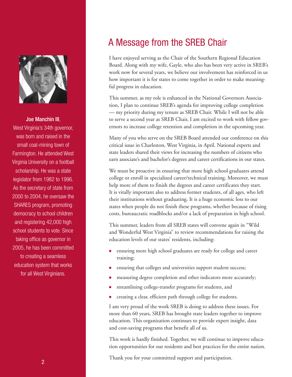

Joe Manchin III, West Virginia's 34th governor, was born and raised in the small coal-mining town of Farmington. He attended West Virginia University on a football scholarship. He was a state legislator from 1982 to 1996. As the secretary of state from 2000 to 2004, he oversaw the SHARES program, promoting democracy to school children and registering 42,000 high school students to vote. Since taking office as governor in 2005, he has been committed to creating a seamless education system that works for all West Virginians.

# A Message from the SREB Chair

I have enjoyed serving as the Chair of the Southern Regional Education Board. Along with my wife, Gayle, who also has been very active in SREB's work now for several years, we believe our involvement has reinforced in us how important it is for states to come together in order to make meaningful progress in education.

This summer, as my role is enhanced in the National Governors Association, I plan to continue SREB's agenda for improving college completion — my priority during my tenure as SREB Chair. While I will not be able to serve a second year as SREB Chair, I am excited to work with fellow governors to increase college retention and completion in the upcoming year.

Many of you who serve on the SREB Board attended our conference on this critical issue in Charleston, West Virginia, in April. National experts and state leaders shared their views for increasing the numbers of citizens who earn associate's and bachelor's degrees and career certifications in our states.

We must be proactive in ensuring that more high school graduates attend college or enroll in specialized career/technical training. Moreover, we must help more of them to finish the degrees and career certificates they start. It is vitally important also to address former students, of all ages, who left their institutions without graduating. It is a huge economic loss to our states when people do not finish these programs, whether because of rising costs, bureaucratic roadblocks and/or a lack of preparation in high school.

This summer, leaders from all SREB states will convene again in "Wild and Wonderful West Virginia" to review recommendations for raising the education levels of our states' residents, including:

- ensuring more high school graduates are ready for college and career training;
- ensuring that colleges and universities support student success;
- measuring degree completion and other indicators more accurately;
- streamlining college-transfer programs for students, and
- creating a clear, efficient path through college for students.

I am very proud of the work SREB is doing to address these issues. For more than 60 years, SREB has brought state leaders together to improve education. This organization continues to provide expert insight, data and cost-saving programs that benefit all of us.

This work is hardly finished. Together, we will continue to improve education opportunities for our residents and best practices for the entire nation.

Thank you for your committed support and participation.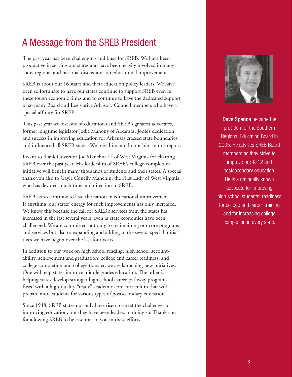# A Message from the SREB President

The past year has been challenging and busy for SREB. We have been productive in serving our states and have been heavily involved in many state, regional and national discussions on educational improvement.

SREB is about our 16 states and their education policy leaders. We have been so fortunate to have our states continue to support SREB even in these tough economic times and to continue to have the dedicated support of so many Board and Legislative Advisory Council members who have a special affinity for SREB.

This past year we lost one of education's and SREB's greatest advocates, former longtime legislator Jodie Mahony of Arkansas. Jodie's dedication and success in improving education for Arkansas crossed state boundaries and influenced all SREB states. We miss him and honor him in this report.

I want to thank Governor Joe Manchin III of West Virginia for chairing SREB over the past year. His leadership of SREB's college-completion initiative will benefit many thousands of students and their states. A special thank you also to Gayle Conelly Manchin, the First Lady of West Virginia, who has devoted much time and direction to SREB.

SREB states continue to lead the nation in educational improvement. If anything, our states' energy for such improvements has only increased. We know this because the call for SREB's services from the states has increased in the last several years, even as state economies have been challenged. We are committed not only to maintaining our core programs and services but also to expanding and adding to the several special initiatives we have begun over the last four years.

In addition to our work on high school reading; high school accountability, achievement and graduation; college and career readiness; and college completion and college transfer, we are launching new initiatives. One will help states improve middle grades education. The other is helping states develop stronger high school career-pathway programs, fused with a high-quality "ready" academic core curriculum that will prepare more students for various types of postsecondary education.

Since 1948, SREB states not only have risen to meet the challenges of improving education, but they have been leaders in doing so. Thank you for allowing SREB to be essential to you in these efforts.



**Dave Spence** became the president of the Southern Regional Education Board in 2005. He advises SREB Board members as they strive to improve pre-K-12 and postsecondary education. He is a nationally known advocate for improving high school students' readiness for college and career training and for increasing college completion in every state.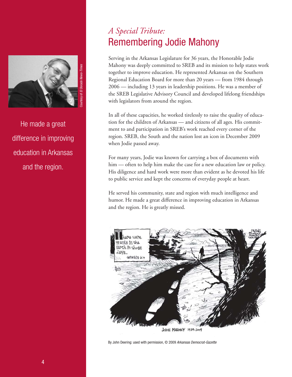

He made a great difference in improving education in Arkansas and the region.

## *A Special Tribute:*  Remembering Jodie Mahony

Serving in the Arkansas Legislature for 36 years, the Honorable Jodie Mahony was deeply committed to SREB and its mission to help states work together to improve education. He represented Arkansas on the Southern Regional Education Board for more than 20 years — from 1984 through 2006 — including 13 years in leadership positions. He was a member of the SREB Legislative Advisory Council and developed lifelong friendships with legislators from around the region.

In all of these capacities, he worked tirelessly to raise the quality of education for the children of Arkansas — and citizens of all ages. His commitment to and participation in SREB's work reached every corner of the region. SREB, the South and the nation lost an icon in December 2009 when Jodie passed away.

For many years, Jodie was known for carrying a box of documents with him — often to help him make the case for a new education law or policy. His diligence and hard work were more than evident as he devoted his life to public service and kept the concerns of everyday people at heart.

He served his community, state and region with much intelligence and humor. He made a great difference in improving education in Arkansas and the region. He is greatly missed.



By John Deering: used with permission, © 2009 Arkansas Democrat-Gazette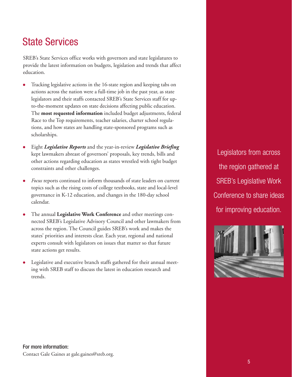# State Services

SREB's State Services office works with governors and state legislatures to provide the latest information on budgets, legislation and trends that affect education.

- Tracking legislative actions in the 16-state region and keeping tabs on actions across the nation were a full-time job in the past year, as state legislators and their staffs contacted SREB's State Services staff for upto-the-moment updates on state decisions affecting public education. The **most requested information** included budget adjustments, federal Race to the Top requirements, teacher salaries, charter school regulations, and how states are handling state-sponsored programs such as scholarships.
- Eight *Legislative Reports* and the year-in-review *Legislative Briefing* kept lawmakers abreast of governors' proposals, key trends, bills and other actions regarding education as states wrestled with tight budget constraints and other challenges.
- *Focus* reports continued to inform thousands of state leaders on current topics such as the rising costs of college textbooks, state and local-level governance in K-12 education, and changes in the 180-day school calendar.
- The annual **Legislative Work Conference** and other meetings connected SREB's Legislative Advisory Council and other lawmakers from across the region. The Council guides SREB's work and makes the states' priorities and interests clear. Each year, regional and national experts consult with legislators on issues that matter so that future state actions get results.
- Legislative and executive branch staffs gathered for their annual meeting with SREB staff to discuss the latest in education research and trends.

Legislators from across the region gathered at SREB's Legislative Work Conference to share ideas for improving education.

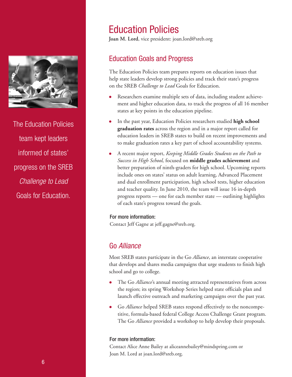

The Education Policies team kept leaders informed of states' progress on the SREB Challenge to Lead Goals for Education.

# Education Policies

**Joan M. Lord**, vice president: joan.lord@sreb.org

## Education Goals and Progress

The Education Policies team prepares reports on education issues that help state leaders develop strong policies and track their state's progress on the SREB *Challenge to Lead* Goals for Education.

- Researchers examine multiple sets of data, including student achievement and higher education data, to track the progress of all 16 member states at key points in the education pipeline.
- In the past year, Education Policies researchers studied **high school graduation rates** across the region and in a major report called for education leaders in SREB states to build on recent improvements and to make graduation rates a key part of school accountability systems.
- A recent major report, *Keeping Middle Grades Students on the Path to Success in High School,* focused on **middle grades achievement** and better preparation of ninth-graders for high school. Upcoming reports include ones on states' status on adult learning, Advanced Placement and dual enrollment participation, high school tests, higher education and teacher quality. In June 2010, the team will issue 16 in-depth progress reports — one for each member state — outlining highlights of each state's progress toward the goals.

#### For more information:

Contact Jeff Gagne at jeff.gagne@sreb.org.

## Go Alliance

Most SREB states participate in the Go *Alliance*, an interstate cooperative that develops and shares media campaigns that urge students to finish high school and go to college.

- The Go *Alliance*'s annual meeting attracted representatives from across the region; its spring Workshop Series helped state officials plan and launch effective outreach and marketing campaigns over the past year.
- Go *Alliance* helped SREB states respond effectively to the noncompetitive, formula-based federal College Access Challenge Grant program. The Go *Alliance* provided a workshop to help develop their proposals.

#### For more information:

Contact Alice Anne Bailey at aliceannebailey@mindspring.com or Joan M. Lord at joan.lord@sreb.org.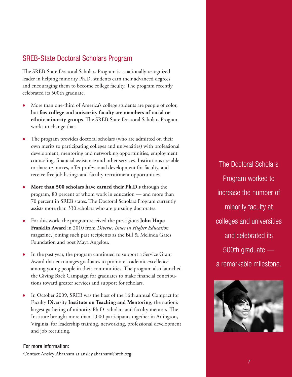## SREB-State Doctoral Scholars Program

The SREB-State Doctoral Scholars Program is a nationally recognized leader in helping minority Ph.D. students earn their advanced degrees and encouraging them to become college faculty. The program recently celebrated its 500th graduate.

- More than one-third of America's college students are people of color, but **few college and university faculty are members of racial or ethnic minority groups**. The SREB-State Doctoral Scholars Program works to change that.
- The program provides doctoral scholars (who are admitted on their own merits to participating colleges and universities) with professional development, mentoring and networking opportunities, employment counseling, financial assistance and other services. Institutions are able to share resources, offer professional development for faculty, and receive free job listings and faculty recruitment opportunities.
- **More than 500 scholars have earned their Ph.D.s** through the program, 80 percent of whom work in education — and more than 70 percent in SREB states. The Doctoral Scholars Program currently assists more than 330 scholars who are pursuing doctorates.
- For this work, the program received the prestigious **John Hope Franklin Award** in 2010 from *Diverse: Issues in Higher Education* magazine, joining such past recipients as the Bill & Melinda Gates Foundation and poet Maya Angelou.
- In the past year, the program continued to support a Service Grant Award that encourages graduates to promote academic excellence among young people in their communities. The program also launched the Giving Back Campaign for graduates to make financial contributions toward greater services and support for scholars.
- In October 2009, SREB was the host of the 16th annual Compact for Faculty Diversity **Institute on Teaching and Mentoring**, the nation's largest gathering of minority Ph.D. scholars and faculty mentors. The Institute brought more than 1,000 participants together in Arlington, Virginia, for leadership training, networking, professional development and job recruiting.

#### For more information:

Contact Ansley Abraham at ansley.abraham@sreb.org.

The Doctoral Scholars Program worked to increase the number of minority faculty at colleges and universities and celebrated its 500th graduate a remarkable milestone.

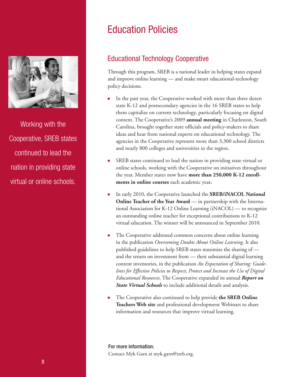

Working with the Cooperative, SREB states continued to lead the nation in providing state virtual or online schools.

# Education Policies

## Educational Technology Cooperative

Through this program, SREB is a national leader in helping states expand and improve online learning — and make smart educational-technology policy decisions.

- In the past year, the Cooperative worked with more than three dozen state K-12 and postsecondary agencies in the 16 SREB states to help them capitalize on current technology, particularly focusing on digital content. The Cooperative's 2009 **annual meeting** in Charleston, South Carolina, brought together state officials and policy-makers to share ideas and hear from national experts on educational technology. The agencies in the Cooperative represent more than 3,300 school districts and nearly 800 colleges and universities in the region.
- SREB states continued to lead the nation in providing state virtual or online schools, working with the Cooperative on initiatives throughout the year. Member states now have **more than 250,000 K-12 enrollments in online courses** each academic year**.**
- In early 2010, the Cooperative launched the **SREB/iNACOL National Online Teacher of the Year Award** — in partnership with the International Association for K-12 Online Learning (iNACOL) — to recognize an outstanding online teacher for exceptional contributions to K-12 virtual education. The winner will be announced in September 2010.
- The Cooperative addressed common concerns about online learning in the publication *Overcoming Doubts About Online Learning*. It also published guidelines to help SREB states maximize the sharing of and the return on investment from — their substantial digital learning content inventories, in the publication *An Expectation of Sharing: Guidelines for Effective Policies to Respect, Protect and Increase the Use of Digital Educational Resources*. The Cooperative expanded its annual *Report on State Virtual Schools* to include additional details and analysis.
- The Cooperative also continued to help provide **the SREB Online Teachers Web site** and professional development Webinars to share information and resources that improve virtual learning.

For more information: Contact Myk Garn at myk.garn@sreb.org.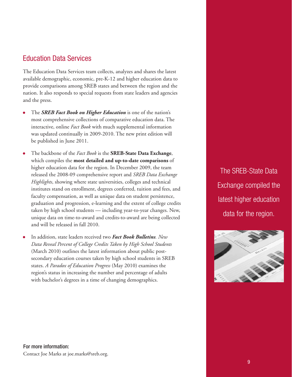### Education Data Services

The Education Data Services team collects, analyzes and shares the latest available demographic, economic, pre-K-12 and higher education data to provide comparisons among SREB states and between the region and the nation. It also responds to special requests from state leaders and agencies and the press.

- The *SREB Fact Book on Higher Education* is one of the nation's most comprehensive collections of comparative education data. The interactive, online *Fact Book* with much supplemental information was updated continually in 2009-2010. The new print edition will be published in June 2011.
- The backbone of the *Fact Book* is the **SREB-State Data Exchange**, which compiles the **most detailed and up-to-date comparisons** of higher education data for the region. In December 2009, the team released the 2008-09 comprehensive report and *SREB Data Exchange Highlights*, showing where state universities, colleges and technical institutes stand on enrollment, degrees conferred, tuition and fees, and faculty compensation, as well as unique data on student persistence, graduation and progression, e-learning and the extent of college credits taken by high school students — including year-to-year changes. New, unique data on time-to-award and credits-to-award are being collected and will be released in fall 2010.
- In addition, state leaders received two *Fact Book Bulletins. New Data Reveal Percent of College Credits Taken by High School Students* (March 2010) outlines the latest information about public postsecondary education courses taken by high school students in SREB states. *A Paradox of Education Progress* (May 2010) examines the region's status in increasing the number and percentage of adults with bachelor's degrees in a time of changing demographics.

The SREB-State Data Exchange compiled the latest higher education data for the region.

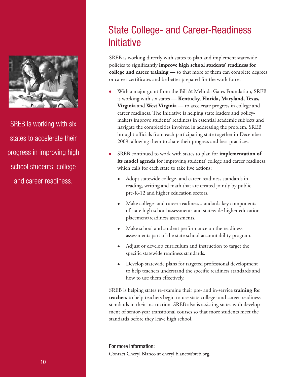

SREB is working with six states to accelerate their progress in improving high school students' college and career readiness.

# State College- and Career-Readiness **Initiative**

SREB is working directly with states to plan and implement statewide policies to significantly **improve high school students' readiness for college and career training** — so that more of them can complete degrees or career certificates and be better prepared for the work force.

- With a major grant from the Bill & Melinda Gates Foundation, SREB is working with six states — **Kentucky, Florida, Maryland, Texas, Virginia** and **West Virginia** — to accelerate progress in college and career readiness. The Initiative is helping state leaders and policymakers improve students' readiness in essential academic subjects and navigate the complexities involved in addressing the problem. SREB brought officials from each participating state together in December 2009, allowing them to share their progress and best practices.
- SREB continued to work with states to plan for **implementation of its model agenda** for improving students' college and career readiness, which calls for each state to take five actions:
	- Adopt statewide college- and career-readiness standards in reading, writing and math that are created jointly by public pre-K-12 and higher education sectors.
	- Make college- and career-readiness standards key components of state high school assessments and statewide higher education placement/readiness assessments.
	- Make school and student performance on the readiness assessments part of the state school accountability program.
	- Adjust or develop curriculum and instruction to target the specific statewide readiness standards.
	- Develop statewide plans for targeted professional development to help teachers understand the specific readiness standards and how to use them effectively.

SREB is helping states re-examine their pre- and in-service **training for teachers** to help teachers begin to use state college- and career-readiness standards in their instruction. SREB also is assisting states with development of senior-year transitional courses so that more students meet the standards before they leave high school.

For more information: Contact Cheryl Blanco at cheryl.blanco@sreb.org.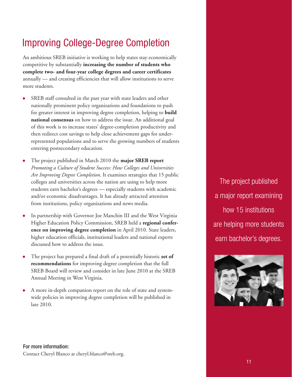# Improving College-Degree Completion

An ambitious SREB initiative is working to help states stay economically competitive by substantially **increasing the number of students who complete two- and four-year college degrees and career certificates** annually — and creating efficiencies that will allow institutions to serve more students.

- SREB staff consulted in the past year with state leaders and other nationally prominent policy organizations and foundations to push for greater interest in improving degree completion, helping to **build national consensus** on how to address the issue. An additional goal of this work is to increase states' degree-completion productivity and then redirect cost savings to help close achievement gaps for underrepresented populations and to serve the growing numbers of students entering postsecondary education.
- The project published in March 2010 the **major SREB report**  *Promoting a Culture of Student Success: How Colleges and Universities Are Improving Degree Completion*. It examines strategies that 15 public colleges and universities across the nation are using to help more students earn bachelor's degrees — especially students with academic and/or economic disadvantages. It has already attracted attention from institutions, policy organizations and news media.
- In partnership with Governor Joe Manchin III and the West Virginia Higher Education Policy Commission, SREB held a **regional conference on improving degree completion** in April 2010. State leaders, higher education officials, institutional leaders and national experts discussed how to address the issue.
- The project has prepared a final draft of a potentially historic **set of recommendations** for improving degree completion that the full SREB Board will review and consider in late June 2010 at the SREB Annual Meeting in West Virginia.
- A more in-depth companion report on the role of state and systemwide policies in improving degree completion will be published in late 2010.

The project published a major report examining how 15 institutions are helping more students earn bachelor's degrees.

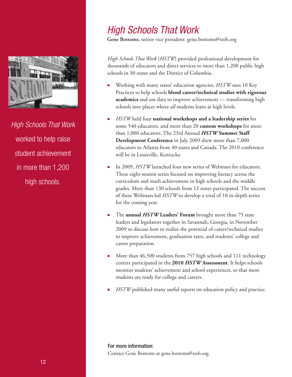

High Schools That Work worked to help raise student achievement in more than 1,200 high schools.

# High Schools That Work

**Gene Bottoms**, senior vice president: gene.bottoms@sreb.org

*High Schools That Work* (*HSTW*) provided professional development for thousands of educators and direct services to more than 1,200 public high schools in 30 states and the District of Columbia.

- Working with many states' education agencies, *HSTW* uses 10 Key Practices to help schools **blend career/technical studies with rigorous academics** and use data to improve achievement — transforming high schools into places where *all* students learn at high levels.
- *HSTW* held four **national workshops and a leadership series** for some 540 educators, and more than 20 **custom workshops** for more than 1,000 educators. The 23rd Annual *HSTW* **Summer Staff Development Conference** in July 2009 drew more than 7,000 educators to Atlanta from 40 states and Canada. The 2010 conference will be in Louisville, Kentucky.
- In 2009, *HSTW* launched four new series of Webinars for educators. These eight-session series focused on improving literacy across the curriculum and math achievement in high schools and the middle grades. More than 130 schools from 12 states participated. The success of these Webinars led *HSTW* to develop a total of 10 in-depth series for the coming year.
- The **annual** *HSTW* **Leaders' Forum** brought more than 75 state leaders and legislators together in Savannah, Georgia, in November 2009 to discuss how to realize the potential of career/technical studies to improve achievement, graduation rates, and students' college and career preparation.
- More than 46,500 students from 757 high schools and 111 technology centers participated in the **2010** *HSTW* **Assessment**. It helps schools monitor students' achievement and school experiences, so that more students are ready for college and careers.
- *HSTW* published many useful reports on education policy and practice.

For more information: Contact Gene Bottoms at gene.bottoms@sreb.org.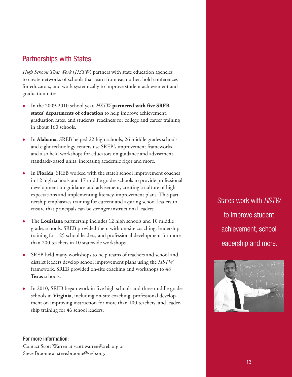### Partnerships with States

*High Schools That Work* (*HSTW*) partners with state education agencies to create networks of schools that learn from each other, hold conferences for educators, and work systemically to improve student achievement and graduation rates.

- In the 2009-2010 school year, *HSTW* **partnered with five SREB states' departments of education** to help improve achievement, graduation rates, and students' readiness for college and career training in about 160 schools.
- In **Alabama**, SREB helped 22 high schools, 26 middle grades schools and eight technology centers use SREB's improvement frameworks and also held workshops for educators on guidance and advisement, standards-based units, increasing academic rigor and more.
- In **Florida**, SREB worked with the state's school improvement coaches in 12 high schools and 17 middle grades schools to provide professional development on guidance and advisement, creating a culture of high expectations and implementing literacy-improvement plans. This partnership emphasizes training for current and aspiring school leaders to ensure that principals can be stronger instructional leaders.
- The **Louisiana** partnership includes 12 high schools and 10 middle grades schools. SREB provided them with on-site coaching, leadership training for 125 school leaders, and professional development for more than 200 teachers in 10 statewide workshops.
- SREB held many workshops to help teams of teachers and school and district leaders develop school improvement plans using the *HSTW* framework. SREB provided on-site coaching and workshops to 48 **Texas** schools.
- In 2010, SREB began work in five high schools and three middle grades schools in **Virginia**, including on-site coaching, professional development on improving instruction for more than 100 teachers, and leadership training for 46 school leaders.

States work with HSTW to improve student achievement, school leadership and more.



#### For more information:

Contact Scott Warren at scott.warren@sreb.org or Steve Broome at steve.broome@sreb.org.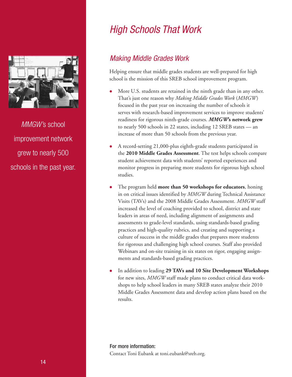

MMGW's school improvement network grew to nearly 500 schools in the past year.

# High Schools That Work

## Making Middle Grades Work

Helping ensure that middle grades students are well-prepared for high school is the mission of this SREB school improvement program.

- More U.S. students are retained in the ninth grade than in any other. That's just one reason why *Making Middle Grades Work* (*MMGW*) focused in the past year on increasing the number of schools it serves with research-based improvement services to improve students' readiness for rigorous ninth-grade courses. *MMGW***'s network grew** to nearly 500 schools in 22 states, including 12 SREB states — an increase of more than 50 schools from the previous year.
- A record-setting 21,000-plus eighth-grade students participated in the **2010 Middle Grades Assessment**. The test helps schools compare student achievement data with students' reported experiences and monitor progress in preparing more students for rigorous high school studies.
- The program held **more than 50 workshops for educators**, honing in on critical issues identified by *MMGW* during Technical Assistance Visits (TAVs) and the 2008 Middle Grades Assessment. *MMGW* staff increased the level of coaching provided to school, district and state leaders in areas of need, including alignment of assignments and assessments to grade-level standards, using standards-based grading practices and high-quality rubrics, and creating and supporting a culture of success in the middle grades that prepares more students for rigorous and challenging high school courses. Staff also provided Webinars and on-site training in six states on rigor, engaging assignments and standards-based grading practices.
- In addition to leading **29 TAVs and 10 Site Development Workshops** for new sites, *MMGW* staff made plans to conduct critical data workshops to help school leaders in many SREB states analyze their 2010 Middle Grades Assessment data and develop action plans based on the results.

For more information: Contact Toni Eubank at toni.eubank@sreb.org.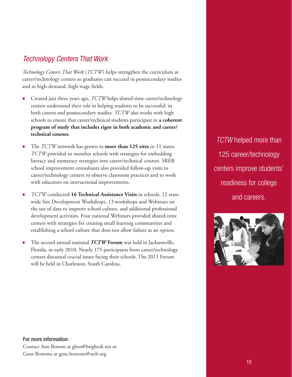## Technology Centers That Work

*Technology Centers That Work* (*TCTW*) helps strengthen the curriculum at career/technology centers so graduates can succeed in postsecondary studies and in high-demand, high-wage fields.

- Created just three years ago, *TCTW* helps shared-time career/technology centers understand their role in helping students to be successful, in both careers and postsecondary studies. *TCTW* also works with high schools to ensure that career/technical students participate in **a coherent program of study that includes rigor in both academic and career/ technical courses**.
- The *TCTW* network has grown to **more than 125 sites** in 11 states. *TCTW* provided its member schools with strategies for embedding literacy and numeracy strategies into career/technical courses. SREB school improvement consultants also provided follow-up visits to career/technology centers to observe classroom practices and to work with educators on instructional improvements.
- *TCTW* conducted **16 Technical Assistance Visits** in schools, 12 statewide Site Development Workshops, 13 workshops and Webinars on the use of data to improve school culture, and additional professional development activities. Four national Webinars provided shared-time centers with strategies for creating small learning communities and establishing a school culture that does not allow failure as an option.
- The second annual national *TCTW* **Forum** was held in Jacksonville, Florida, in early 2010. Nearly 175 participants from career/technology centers discussed crucial issues facing their schools. The 2011 Forum will be held in Charleston, South Carolina.

**TCTW** helped more than 125 career/technology centers improve students' readiness for college and careers.



#### For more information: Contact Ann Benson at gben@brightok.net or Gene Bottoms at gene.bottoms@sreb.org.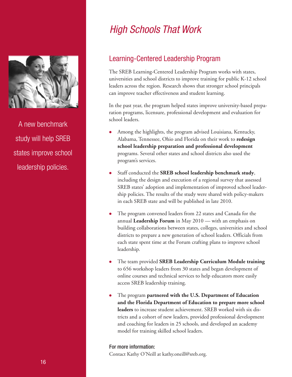

A new benchmark study will help SREB states improve school leadership policies.

# High Schools That Work

## Learning-Centered Leadership Program

The SREB Learning-Centered Leadership Program works with states, universities and school districts to improve training for public K-12 school leaders across the region. Research shows that stronger school principals can improve teacher effectiveness and student learning.

In the past year, the program helped states improve university-based preparation programs, licensure, professional development and evaluation for school leaders.

- Among the highlights, the program advised Louisiana, Kentucky, Alabama, Tennessee, Ohio and Florida on their work to **redesign school leadership preparation and professional development**  programs. Several other states and school districts also used the program's services.
- Staff conducted the **SREB school leadership benchmark study**, including the design and execution of a regional survey that assessed SREB states' adoption and implementation of improved school leadership policies. The results of the study were shared with policy-makers in each SREB state and will be published in late 2010.
- The program convened leaders from 22 states and Canada for the annual **Leadership Forum** in May 2010 — with an emphasis on building collaborations between states, colleges, universities and school districts to prepare a new generation of school leaders. Officials from each state spent time at the Forum crafting plans to improve school leadership.
- The team provided **SREB Leadership Curriculum Module training** to 656 workshop leaders from 30 states and began development of online courses and technical services to help educators more easily access SREB leadership training.
- The program **partnered with the U.S. Department of Education and the Florida Department of Education to prepare more school leaders** to increase student achievement. SREB worked with six districts and a cohort of new leaders, provided professional development and coaching for leaders in 25 schools, and developed an academy model for training skilled school leaders.

#### For more information:

Contact Kathy O'Neill at kathy.oneill@sreb.org.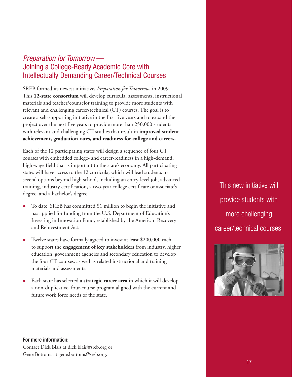## Preparation for Tomorrow — Joining a College-Ready Academic Core with Intellectually Demanding Career/Technical Courses

SREB formed its newest initiative, *Preparation for Tomorrow*, in 2009. This **12-state consortium** will develop curricula, assessments, instructional materials and teacher/counselor training to provide more students with relevant and challenging career/technical (CT) courses. The goal is to create a self-supporting initiative in the first five years and to expand the project over the next five years to provide more than 250,000 students with relevant and challenging CT studies that result in **improved student achievement, graduation rates, and readiness for college and careers.**

Each of the 12 participating states will design a sequence of four CT courses with embedded college- and career-readiness in a high-demand, high-wage field that is important to the state's economy. All participating states will have access to the 12 curricula, which will lead students to several options beyond high school, including an entry-level job, advanced training, industry certification, a two-year college certificate or associate's degree, and a bachelor's degree.

- To date, SREB has committed \$1 million to begin the initiative and has applied for funding from the U.S. Department of Education's Investing in Innovation Fund, established by the American Recovery and Reinvestment Act.
- Twelve states have formally agreed to invest at least \$200,000 each to support the **engagement of key stakeholders** from industry, higher education, government agencies and secondary education to develop the four CT courses, as well as related instructional and training materials and assessments.
- Each state has selected a **strategic career area** in which it will develop a non-duplicative, four-course program aligned with the current and future work force needs of the state.

This new initiative will provide students with more challenging career/technical courses.



For more information: Contact Dick Blais at dick.blais@sreb.org or Gene Bottoms at gene.bottoms@sreb.org.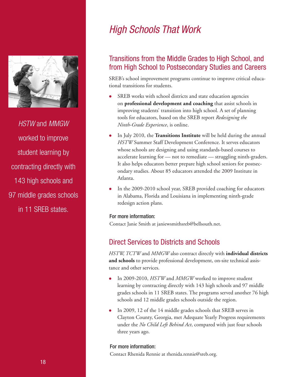

HSTW and MMGW worked to improve student learning by contracting directly with 143 high schools and 97 middle grades schools in 11 SREB states.

# High Schools That Work

## Transitions from the Middle Grades to High School, and from High School to Postsecondary Studies and Careers

SREB's school improvement programs continue to improve critical educational transitions for students.

- SREB works with school districts and state education agencies on **professional development and coaching** that assist schools in improving students' transition into high school. A set of planning tools for educators, based on the SREB report *Redesigning the Ninth-Grade Experience*, is online.
- In July 2010, the **Transitions Institute** will be held during the annual *HSTW* Summer Staff Development Conference. It serves educators whose schools are designing and using standards-based courses to accelerate learning for — not to remediate — struggling ninth-graders. It also helps educators better prepare high school seniors for postsecondary studies. About 85 educators attended the 2009 Institute in Atlanta.
- In the 2009-2010 school year, SREB provided coaching for educators in Alabama, Florida and Louisiana in implementing ninth-grade redesign action plans.

#### For more information:

Contact Janie Smith at janiewsmithsreb@bellsouth.net.

## Direct Services to Districts and Schools

*HSTW, TCTW* and *MMGW* also contract directly with **individual districts and schools** to provide professional development, on-site technical assistance and other services.

- In 2009-2010, *HSTW* and *MMGW* worked to improve student learning by contracting directly with 143 high schools and 97 middle grades schools in 11 SREB states. The programs served another 76 high schools and 12 middle grades schools outside the region.
- In 2009, 12 of the 14 middle grades schools that SREB serves in Clayton County, Georgia, met Adequate Yearly Progress requirements under the *No Child Left Behind Act*, compared with just four schools three years ago.

#### For more information:

Contact Rhenida Rennie at rhenida.rennie@sreb.org.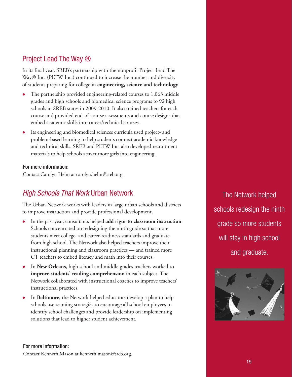## Project Lead The Way ®

In its final year, SREB's partnership with the nonprofit Project Lead The Way® Inc. (PLTW Inc.) continued to increase the number and diversity of students preparing for college in **engineering, science and technology**.

- The partnership provided engineering-related courses to 1,063 middle grades and high schools and biomedical science programs to 92 high schools in SREB states in 2009-2010. It also trained teachers for each course and provided end-of-course assessments and course designs that embed academic skills into career/technical courses.
- Its engineering and biomedical sciences curricula used project- and problem-based learning to help students connect academic knowledge and technical skills. SREB and PLTW Inc. also developed recruitment materials to help schools attract more girls into engineering.

#### For more information:

Contact Carolyn Helm at carolyn.helm@sreb.org.

## High Schools That Work Urban Network

The Urban Network works with leaders in large urban schools and districts to improve instruction and provide professional development.

- In the past year, consultants helped **add rigor to classroom instruction**. Schools concentrated on redesigning the ninth grade so that more students meet college- and career-readiness standards and graduate from high school. The Network also helped teachers improve their instructional planning and classroom practices — and trained more CT teachers to embed literacy and math into their courses.
- In **New Orleans**, high school and middle grades teachers worked to **improve students' reading comprehension** in each subject. The Network collaborated with instructional coaches to improve teachers' instructional practices.
- In **Baltimore**, the Network helped educators develop a plan to help schools use teaming strategies to encourage all school employees to identify school challenges and provide leadership on implementing solutions that lead to higher student achievement.

The Network helped schools redesign the ninth grade so more students will stay in high school and graduate.



#### For more information:

Contact Kenneth Mason at kenneth.mason@sreb.org.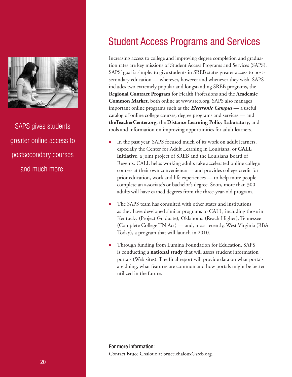

SAPS gives students greater online access to postsecondary courses and much more.

# Student Access Programs and Services

Increasing access to college and improving degree completion and graduation rates are key missions of Student Access Programs and Services (SAPS). SAPS' goal is simple: to give students in SREB states greater access to postsecondary education — wherever, however and whenever they wish. SAPS includes two extremely popular and longstanding SREB programs, the **Regional Contract Program** for Health Professions and the **Academic Common Market**, both online at www.sreb.org. SAPS also manages important online programs such as the *Electronic Campus* — a useful catalog of online college courses, degree programs and services — and **theTeacherCenter.org**, the **Distance Learning Policy Laboratory**, and tools and information on improving opportunities for adult learners.

- In the past year, SAPS focused much of its work on adult learners, especially the Center for Adult Learning in Louisiana, or **CALL initiative**, a joint project of SREB and the Louisiana Board of Regents. CALL helps working adults take accelerated online college courses at their own convenience — and provides college credit for prior education, work and life experiences — to help more people complete an associate's or bachelor's degree. Soon, more than 300 adults will have earned degrees from the three-year-old program.
- The SAPS team has consulted with other states and institutions as they have developed similar programs to CALL, including those in Kentucky (Project Graduate), Oklahoma (Reach Higher), Tennessee (Complete College TN Act) — and, most recently, West Virginia (RBA Today), a program that will launch in 2010.
- Through funding from Lumina Foundation for Education, SAPS is conducting a **national study** that will assess student information portals (Web sites). The final report will provide data on what portals are doing, what features are common and how portals might be better utilized in the future.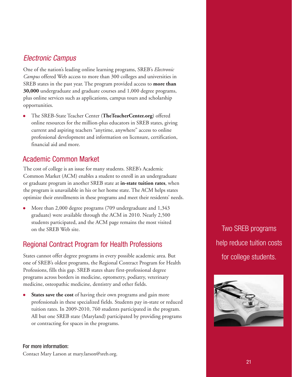### Electronic Campus

One of the nation's leading online learning programs, SREB's *Electronic Campus* offered Web access to more than 300 colleges and universities in SREB states in the past year. The program provided access to **more than 30,000** undergraduate and graduate courses and 1,000 degree programs, plus online services such as applications, campus tours and scholarship opportunities.

 The SREB-State Teacher Center (**TheTeacherCenter.org**) offered online resources for the million-plus educators in SREB states, giving current and aspiring teachers "anytime, anywhere" access to online professional development and information on licensure, certification, financial aid and more.

## Academic Common Market

The cost of college is an issue for many students. SREB's Academic Common Market (ACM) enables a student to enroll in an undergraduate or graduate program in another SREB state at **in-state tuition rates**, when the program is unavailable in his or her home state. The ACM helps states optimize their enrollments in these programs and meet their residents' needs.

 More than 2,000 degree programs (709 undergraduate and 1,343 graduate) were available through the ACM in 2010. Nearly 2,500 students participated, and the ACM page remains the most visited on the SREB Web site.

## Regional Contract Program for Health Professions

States cannot offer degree programs in every possible academic area. But one of SREB's oldest programs, the Regional Contract Program for Health Professions, fills this gap. SREB states share first-professional degree programs across borders in medicine, optometry, podiatry, veterinary medicine, osteopathic medicine, dentistry and other fields.

 **States save the cost** of having their own programs and gain more professionals in these specialized fields. Students pay in-state or reduced tuition rates. In 2009-2010, 760 students participated in the program. All but one SREB state (Maryland) participated by providing programs or contracting for spaces in the programs.

For more information:

Contact Mary Larson at mary.larson@sreb.org.

Two SREB programs help reduce tuition costs for college students.

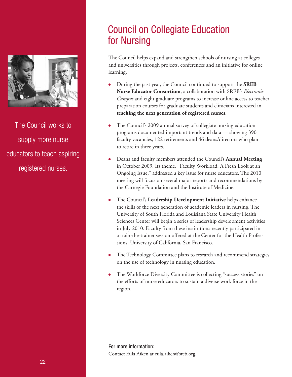

The Council works to supply more nurse educators to teach aspiring registered nurses.

# Council on Collegiate Education for Nursing

The Council helps expand and strengthen schools of nursing at colleges and universities through projects, conferences and an initiative for online learning.

- During the past year, the Council continued to support the **SREB Nurse Educator Consortium**, a collaboration with SREB's *Electronic Campus* and eight graduate programs to increase online access to teacher preparation courses for graduate students and clinicians interested in **teaching the next generation of registered nurses**.
- The Council's 2009 annual survey of collegiate nursing education programs documented important trends and data — showing 390 faculty vacancies, 122 retirements and 46 deans/directors who plan to retire in three years.
- Deans and faculty members attended the Council's **Annual Meeting** in October 2009. Its theme, "Faculty Workload: A Fresh Look at an Ongoing Issue," addressed a key issue for nurse educators. The 2010 meeting will focus on several major reports and recommendations by the Carnegie Foundation and the Institute of Medicine.
- The Council's **Leadership Development Initiative** helps enhance the skills of the next generation of academic leaders in nursing. The University of South Florida and Louisiana State University Health Sciences Center will begin a series of leadership development activities in July 2010. Faculty from these institutions recently participated in a train-the-trainer session offered at the Center for the Health Professions, University of California, San Francisco.
- The Technology Committee plans to research and recommend strategies on the use of technology in nursing education.
- The Workforce Diversity Committee is collecting "success stories" on the efforts of nurse educators to sustain a diverse work force in the region.

For more information: Contact Eula Aiken at eula.aiken@sreb.org.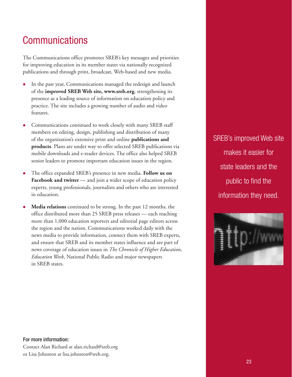# **Communications**

The Communications office promotes SREB's key messages and priorities for improving education in its member states via nationally recognized publications and through print, broadcast, Web-based and new media.

- In the past year, Communications managed the redesign and launch of the **improved SREB Web site, www.sreb.org**, strengthening its presence as a leading source of information on education policy and practice. The site includes a growing number of audio and video features.
- Communications continued to work closely with many SREB staff members on editing, design, publishing and distribution of many of the organization's extensive print and online **publications and products**. Plans are under way to offer selected SREB publications via mobile downloads and e-reader devices. The office also helped SREB senior leaders to promote important education issues in the region.
- The office expanded SREB's presence in new media. **Follow us on Facebook and twitter** — and join a wider scope of education policy experts, young professionals, journalists and others who are interested in education.
- **Media relations** continued to be strong. In the past 12 months, the office distributed more than 25 SREB press releases — each reaching more than 1,000 education reporters and editorial page editors across the region and the nation. Communications worked daily with the news media to provide information, connect them with SREB experts, and ensure that SREB and its member states influence and are part of news coverage of education issues in *The Chronicle of Higher Education*, *Education Week*, National Public Radio and major newspapers in SREB states.

SREB's improved Web site makes it easier for state leaders and the public to find the information they need.



#### For more information: Contact Alan Richard at alan.richard@sreb.org or Lisa Johnston at lisa.johnston@sreb.org.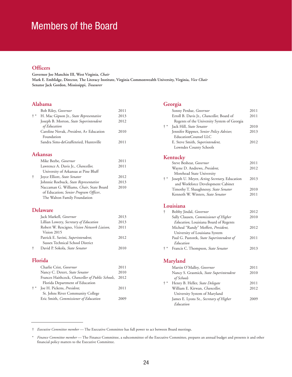# Members of the Board

#### **Officers**

**Governor Joe Manchin III, West Virginia,** *Chair* **Mark E. Emblidge, Director, The Literacy Institute, Virginia Commonwealth University, Virginia,** *Vice Chair* **Senator Jack Gordon, Mississippi,** *Treasurer*

## **Alabama**

| <b>Bob Riley, Governor</b>                                                                                                                                                                                                                                                                                                                                                       | 2011 |
|----------------------------------------------------------------------------------------------------------------------------------------------------------------------------------------------------------------------------------------------------------------------------------------------------------------------------------------------------------------------------------|------|
| $+ *$<br>H. Mac Gipson Jr., State Representative                                                                                                                                                                                                                                                                                                                                 | 2013 |
| Joseph B. Morton, State Superintendent<br>of Education                                                                                                                                                                                                                                                                                                                           | 2012 |
| Caroline Novak, <i>President</i> , A+ Education<br>Foundation                                                                                                                                                                                                                                                                                                                    | 2010 |
| Sandra Sims-deGraffenried, Huntsville                                                                                                                                                                                                                                                                                                                                            | 2011 |
| Arkansas                                                                                                                                                                                                                                                                                                                                                                         |      |
| Mike Beebe, <i>Governor</i>                                                                                                                                                                                                                                                                                                                                                      | 2011 |
| Lawrence A. Davis Jr., <i>Chancellor</i> ,<br>$\mathbf{r}$ $\mathbf{r}$ $\mathbf{r}$ $\mathbf{r}$ $\mathbf{r}$ $\mathbf{r}$ $\mathbf{r}$ $\mathbf{r}$ $\mathbf{r}$ $\mathbf{r}$ $\mathbf{r}$ $\mathbf{r}$ $\mathbf{r}$ $\mathbf{r}$ $\mathbf{r}$ $\mathbf{r}$ $\mathbf{r}$ $\mathbf{r}$ $\mathbf{r}$ $\mathbf{r}$ $\mathbf{r}$ $\mathbf{r}$ $\mathbf{r}$ $\mathbf{r}$ $\mathbf{$ | 2011 |

|   | University of Arkansas at Pine Bluff     |      |
|---|------------------------------------------|------|
| ÷ | Joyce Elliott, State Senator             | 2012 |
|   | Johnnie Roebuck, State Representative    | 2013 |
|   | Naccaman G. Williams, Chair, State Board | 2010 |
|   | of Education; Senior Program Officer,    |      |
|   | The Walton Family Foundation             |      |

#### **Delaware**

|   | Jack Markell, Governor                      | 2013 |
|---|---------------------------------------------|------|
|   | Lillian Lowery, Secretary of Education      | 2013 |
|   | Robert W. Rescigno, Vision Network Liaison, | 2011 |
|   | Vision 2015                                 |      |
|   | Patrick E. Savini, Superintendent,          | 2012 |
|   | Sussex Technical School District            |      |
| ÷ | David P. Sokola, State Senator              | 2010 |
|   |                                             |      |

#### **Florida**

|       | Charlie Crist, Governor                          | 2011 |
|-------|--------------------------------------------------|------|
|       | Nancy C. Detert, State Senator                   | 2010 |
|       | Frances Haithcock, Chancellor of Public Schools, | 2012 |
|       | Florida Department of Education                  |      |
| $+ *$ | Joe H. Pickens, President,                       | 2011 |
|       | St. Johns River Community College                |      |
|       | Eric Smith, Commissioner of Education            | 2009 |
|       |                                                  |      |

#### **Georgia**

|       | Sonny Perdue, Governor                      | 2011 |
|-------|---------------------------------------------|------|
|       | Erroll B. Davis Jr., Chancellor, Board of   | 2011 |
|       | Regents of the University System of Georgia |      |
| $+ *$ | Jack Hill, State Senator                    | 2010 |
|       | Jennifer Rippner, Senior Policy Advisor,    | 2013 |
|       | EducationCounsel LLC                        |      |
|       | E. Steve Smith, Superintendent,             | 2012 |
|       | Lowndes County Schools                      |      |

#### **Kentucky**

|       | Steve Beshear, Governor                              | 2011 |
|-------|------------------------------------------------------|------|
|       | Wayne D. Andrews, President,                         | 2012 |
|       | Morehead State University                            |      |
| $+ *$ | Joseph U. Meyer, <i>Acting Secretary</i> , Education | 2013 |
|       | and Workforce Development Cabinet                    |      |
|       | Timothy T. Shaughnessy, State Senator                | 2010 |
|       | Kenneth W. Winters, State Senator                    | 2011 |
|       |                                                      |      |

#### **Louisiana**

| t     | Bobby Jindal, Governor                        | 2012 |
|-------|-----------------------------------------------|------|
|       | Sally Clausen, Commissioner of Higher         | 2010 |
|       | <i>Education</i> , Louisiana Board of Regents |      |
|       | Micheal "Randy" Moffett, President,           | 2012 |
|       | University of Louisiana System                |      |
|       | Paul G. Pastorek, State Superintendent of     | 2011 |
|       | Education                                     |      |
| $+ *$ | Francis C. Thompson, State Senator            | 2013 |
|       |                                               |      |

#### **Maryland**

|       | Martin O'Malley, Governor               | 2011 |
|-------|-----------------------------------------|------|
|       | Nancy S. Grasmick, State Superintendent | 2010 |
|       | of Schools                              |      |
| $+ *$ | Henry B. Heller, State Delegate         | 2011 |
|       | William E. Kirwan, Chancellor,          | 2012 |
|       | University System of Maryland           |      |
|       | James E. Lyons Sr., Secretary of Higher | 2009 |
|       | Education                               |      |

† *Executive Committee member* — The Executive Committee has full power to act between Board meetings.

<sup>\*</sup> *Finance Committee member* — The Finance Committee, a subcommittee of the Executive Committee, prepares an annual budget and presents it and other financial policy matters to the Executive Committee.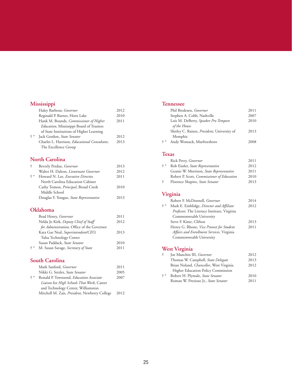#### **Mississippi**

|       | Haley Barbour, Governor                              | 2012 |
|-------|------------------------------------------------------|------|
|       | Reginald P. Barnes, Horn Lake                        | 2010 |
|       | Hank M. Bounds, <i>Commissioner of Higher</i>        | 2011 |
|       | <i>Education</i> , Mississippi Board of Trustees     |      |
|       | of State Institutions of Higher Learning             |      |
| $+ *$ | Jack Gordon, State Senator                           | 2012 |
|       | Charles L. Harrison, <i>Educational Consultant</i> , | 2013 |
|       | The Excellence Group                                 |      |
|       |                                                      |      |

#### **North Carolina**

| $\ddagger$ | Beverly Perdue, Governor                    | 2013 |
|------------|---------------------------------------------|------|
|            | Walter H. Dalton, Lieutenant Governor       | 2012 |
| $+ *$      | Howard N. Lee, <i>Executive Director</i> ,  | 2011 |
|            | North Carolina Education Cabinet            |      |
|            | Cathy Tomon, <i>Principal</i> , Broad Creek | 2010 |
|            | Middle School                               |      |
|            | Douglas Y. Yongue, State Representative     | 2013 |
|            |                                             |      |

#### **Oklahoma**

|       | Brad Henry, Governor                       | 2011 |
|-------|--------------------------------------------|------|
|       | Nelda Jo Kirk, Deputy Chief of Staff       | 2012 |
|       | for Administration, Office of the Governor |      |
|       | Kara Gae Neal, Superintendent/CEO,         | 2013 |
|       | Tulsa Technology Center                    |      |
|       | Susan Paddack, State Senator               | 2010 |
| $+ *$ | M. Susan Savage, Secretary of State        | 2011 |
|       |                                            |      |

#### **South Carolina**

|       | Mark Sanford, <i>Governor</i>                 | 2011 |
|-------|-----------------------------------------------|------|
|       | Nikki G. Setzler, State Senator               | 2005 |
| $+ *$ | Ronald P. Townsend, Education Associate       | 2007 |
|       | Liaison for High Schools That Work, Career    |      |
|       | and Technology Center, Williamston            |      |
|       | Mitchell M. Zais, President, Newberry College | 2012 |
|       |                                               |      |

#### **Tennessee**

|       | Phil Bredesen, Governor                             | 2011 |
|-------|-----------------------------------------------------|------|
|       | Stephen A. Cobb, Nashville                          | 2007 |
|       | Lois M. DeBerry, Speaker Pro Tempore                | 2010 |
|       | of the House                                        |      |
|       | Shirley C. Raines, <i>President</i> , University of | 2013 |
|       | Memphis                                             |      |
| $+ *$ | Andy Womack, Murfreesboro                           | 2008 |
|       |                                                     |      |

#### **Texas**

|       | Rick Perry, Governor                       | 2011 |
|-------|--------------------------------------------|------|
| $+ *$ | Rob Eissler, State Representative          | 2012 |
|       | Geanie W. Morrison, State Representative   | 2011 |
|       | Robert P. Scott, Commissioner of Education | 2010 |
| ÷     | Florence Shapiro, State Senator            | 2013 |
|       |                                            |      |

#### **Virginia**

|       | Robert F. McDonnell, Governor                   | 2014 |
|-------|-------------------------------------------------|------|
| $+ *$ | Mark E. Emblidge, Director and Affiliate        | 2012 |
|       | Professor, The Literacy Institute, Virginia     |      |
|       | Commonwealth University                         |      |
|       | Steve F. Kime, Clifton                          | 2013 |
|       | Henry G. Rhone, <i>Vice Provost for Student</i> | 2011 |
|       | Affairs and Enrollment Services, Virginia       |      |
|       | Commonwealth University                         |      |
|       |                                                 |      |

#### **West Virginia**

| ÷     | Joe Manchin III, Governor                 | 2012 |
|-------|-------------------------------------------|------|
|       | Thomas W. Campbell, State Delegate        | 2013 |
|       | Brian Noland, Chancellor, West Virginia   | 2012 |
|       | <b>Higher Education Policy Commission</b> |      |
| $+ *$ | Robert H. Plymale, State Senator          | 2010 |
|       | Roman W. Prezioso Jr., State Senator      | 2011 |
|       |                                           |      |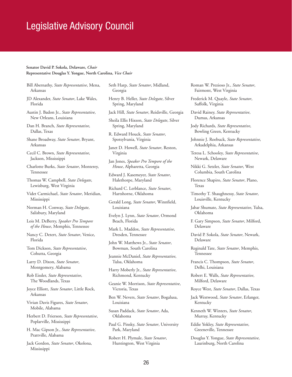## Legislative Advisory Council

#### **Senator David P. Sokola, Delaware,** *Chair* **Representative Douglas Y. Yongue, North Carolina,** *Vice Chair*

- Bill Abernathy, *State Representative*, Mena, Arkansas
- JD Alexander, *State Senator*, Lake Wales, Florida
- Austin J. Badon Jr., *State Representative*, New Orleans, Louisiana

Dan H. Branch, *State Representative*, Dallas, Texas

- Shane Broadway, *State Senator*, Bryant, Arkansas
- Cecil C. Brown, *State Representative*, Jackson, Mississippi
- Charlotte Burks, *State Senator*, Monterey, Tennessee
- Thomas W. Campbell, *State Delegate*, Lewisburg, West Virginia
- Videt Carmichael, *State Senator*, Meridian, Mississippi
- Norman H. Conway, *State Delegate*, Salisbury, Maryland
- Lois M. DeBerry, *Speaker Pro Tempore of the House*, Memphis, Tennessee
- Nancy C. Detert, *State Senator*, Venice, Florida
- Tom Dickson, *State Representative*, Cohutta, Georgia
- Larry D. Dixon, *State Senator*, Montgomery, Alabama
- Rob Eissler, *State Representative*, The Woodlands, Texas
- Joyce Elliott, *State Senator*, Little Rock, Arkansas
- Vivian Davis Figures, *State Senator*, Mobile, Alabama
- Herbert D. Frierson, *State Representative*, Poplarville, Mississippi
- H. Mac Gipson Jr., *State Representative*, Prattville, Alabama
- Jack Gordon, *State Senator*, Okolona, Mississippi

Seth Harp, *State Senator*, Midland, Georgia

- Henry B. Heller, *State Delegate*, Silver Spring, Maryland
- Jack Hill, *State Senator*, Reidsville, Georgia
- Sheila Ellis Hixson, *State Delegate*, Silver Spring, Maryland
- R. Edward Houck, *State Senator*, Spotsylvania, Virginia
- Janet D. Howell, *State Senator*, Reston, Virginia
- Jan Jones, *Speaker Pro Tempore of the House*, Alpharetta, Georgia
- Edward J. Kasemeyer, *State Senator*, Halethorpe, Maryland
- Richard C. Lerblance, *State Senator*, Hartshorne, Oklahoma
- Gerald Long, *State Senator*, Winnfield, Louisiana
- Evelyn J. Lynn, *State Senator*, Ormond Beach, Florida
- Mark L. Maddox, *State Representative*, Dresden, Tennessee
- John W. Matthews Jr., *State Senator*, Bowman, South Carolina
- Jeannie McDaniel, *State Representative*, Tulsa, Oklahoma
- Harry Moberly Jr., *State Representative*, Richmond, Kentucky
- Geanie W. Morrison, *State Representative*, Victoria, Texas
- Ben W. Nevers, *State Senator*, Bogalusa, Louisiana
- Susan Paddack, *State Senator*, Ada, Oklahoma
- Paul G. Pinsky, *State Senator*, University Park, Maryland
- Robert H. Plymale, *State Senator*, Huntington, West Virginia

Roman W. Prezioso Jr., *State Senator*, Fairmont, West Virginia

- Frederick M. Quayle, *State Senator*, Suffolk, Virginia
- David Rainey, *State Representative*, Dumas, Arkansas
- Jody Richards, *State Representative*, Bowling Green, Kentucky
- Johnnie J. Roebuck, *State Representative*, Arkadelphia, Arkansas
- Teresa L. Schooley, *State Representative*, Newark, Delaware
- Nikki G. Setzler, *State Senator*, West Columbia, South Carolina
- Florence Shapiro, *State Senator*, Plano, Texas
- Timothy T. Shaughnessy, *State Senator*, Louisville, Kentucky
- Jabar Shumate, *State Representative*, Tulsa, Oklahoma
- F. Gary Simpson, *State Senator*, Milford, Delaware
- David P. Sokola, *State Senator*, Newark, Delaware
- Reginald Tate, *State Senator*, Memphis, Tennessee
- Francis C. Thompson, *State Senator*, Delhi, Louisiana
- Robert E. Walls, *State Representative*, Milford, Delaware
- Royce West, *State Senator*, Dallas, Texas
- Jack Westwood, *State Senator*, Erlanger, Kentucky
- Kenneth W. Winters, *State Senator*, Murray, Kentucky
- Eddie Yokley, *State Representative*, Greeneville, Tennessee
- Douglas Y. Yongue, *State Representative*, Laurinburg, North Carolina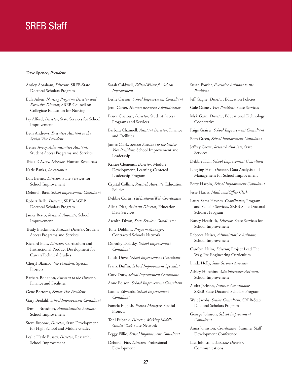# SREB Staff

#### **Dave Spence,** *President*

Ansley Abraham, *Director*, SREB-State Doctoral Scholars Program

Eula Aiken, *Nursing Programs Director and Executive Director*, SREB Council on Collegiate Education for Nursing

Ivy Alford, *Director*, State Services for School Improvement

Beth Andrews, *Executive Assistant to the Senior Vice President*

- Betsey Avery, *Administrative Assistant*, Student Access Programs and Services
- Tricia P. Avery, *Director*, Human Resources

Katie Banks, *Receptionist*

- Lois Barnes, *Director*, State Services for School Improvement
- Deborah Bass, *School Improvement Consultant*

Robert Belle, *Director*, SREB-AGEP Doctoral Scholars Program

- James Berto, *Research Associate*, School Improvement
- Trudy Blackmon, *Assistant Director*, Student Access Programs and Services
- Richard Blais, *Director*, Curriculum and Instructional Product Development for Career/Technical Studies
- Cheryl Blanco, *Vice President*, Special Projects

Barbara Bohanon, *Assistant to the Director*, Finance and Facilities

- Gene Bottoms, *Senior Vice President*
- Gary Bredahl, *School Improvement Consultant*
- Temple Broadnax, *Administrative Assistant*, School Improvement
- Steve Broome, *Director*, State Development for High School and Middle Grades
- Leslie Hazle Bussey, *Director*, Research, School Improvement

Sarah Caldwell, *Editor/Writer for School Improvement* 

Leslie Carson, *School Improvement Consultant*

- Jenn Carter, *Human Resources Administrator*
- Bruce Chaloux, *Director*, Student Access Programs and Services
- Barbara Channell, *Assistant Director*, Finance and Facilities
- James Clark, *Special Assistant to the Senior Vice President*, School Improvement and Leadership
- Kristie Clements, *Director*, Module Development, Learning-Centered Leadership Program
- Crystal Collins, *Research Associate*, Education Policies
- Debbie Curtis, *Publications/Web Coordinator*
- Alicia Diaz, *Assistant Director*, Education Data Services
- Asenith Dixon, *State Services Coordinator*
- Tony Dobbins, *Program Manager*, Contracted Schools Network
- Dorothy Dolasky, *School Improvement Consultant*
- Linda Dove, *School Improvement Consultant*
- Frank Duffin, *School Improvement Specialist*
- Cory Duty, *School Improvement Consultant*
- Anne Edison, *School Improvement Consultant*
- Lannie Edwards, *School Improvement Consultant*
- Pamela English, *Project Manager*, Special Projects
- Toni Eubank, *Director, Making Middle Grades Work* State Network
- Peggy Fillio, *School Improvement Consultant*
- Deborah Fite, *Director*, Professional Development
- Susan Fowler, *Executive Assistant to the President*
- Jeff Gagne, *Director*, Education Policies
- Gale Gaines, *Vice President*, State Services
- Myk Garn, *Director*, Educational Technology Cooperative
- Paige Graiser, *School Improvement Consultant*
- Beth Green, *School Improvement Consultant*
- Jeffrey Grove, *Research Associate*, State Services
- Debbie Hall, *School Improvement Consultant*
- Lingling Han, *Director*, Data Analysis and Management for School Improvement
- Betty Harbin, *School Improvement Consultant*
- Jesse Harris, *Mailroom/Office Clerk*
- Laura Sams Haynes, *Coordinator*, Program and Scholar Services, SREB-State Doctoral Scholars Program
- Nancy Headrick, *Director*, State Services for School Improvement
- Rebecca Heiser, *Administrative Assistant*, School Improvement
- Carolyn Helm, *Director,* Project Lead The Way, Pre-Engineering Curriculum
- Linda Holly, *State Services Associate*
- Ashley Hutchins, *Administrative Assistant,* School Improvement
- Audra Jackson, *Institute Coordinator*, SREB-State Doctoral Scholars Program
- Walt Jacobs, *Senior Consultant*, SREB-State Doctoral Scholars Program
- George Johnson, *School Improvement Consultant*
- Anna Johnston, *Coordinator*, Summer Staff Development Conference
- Lisa Johnston, *Associate Director*, Communications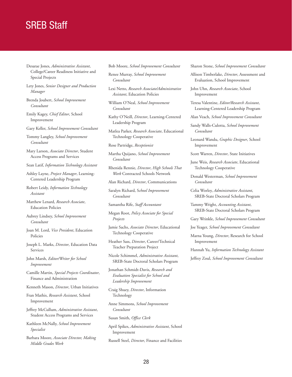## SREB Staff

- Desarae Jones, *Administrative Assistant*, College/Career Readiness Initiative and Special Projects
- Lety Jones, *Senior Designer and Production Manager*
- Brenda Joubert, *School Improvement Consultant*
- Emily Kagey, *Chief Editor*, School Improvement
- Gary Keller, *School Improvement Consultant*
- Tommy Langley, *School Improvement Consultant*
- Mary Larson, *Associate Director*, Student Access Programs and Services
- Sean Latif, *Information Technology Assistant*
- Ashley Layne, *Project Manager*, Learning-Centered Leadership Program
- Robert Leidy, *Information Technology Assistant*
- Matthew Lenard, *Research Associate*, Education Policies
- Aubrey Lindsey, *School Improvement Consultant*
- Joan M. Lord, *Vice President*, Education Policies
- Joseph L. Marks, *Director*, Education Data Services
- John Marsh, *Editor/Writer for School Improvement*
- Camille Martin, *Special Projects Coordinator*, Finance and Administration
- Kenneth Mason, *Director*, Urban Initiatives
- Fran Mathis, *Research Assistant*, School Improvement
- Jeffrey McCullum, *Administrative Assistant*, Student Access Programs and Services
- Kathleen McNally, *School Improvement Specialist*
- Barbara Moore, *Associate Director, Making Middle Grades Work*

Bob Moore, *School Improvement Consultant*

Renee Murray, *School Improvement Consultant* 

- Lexi Netto, *Research Associate/Administrative Assistant*, Education Policies
- William O'Neal, *School Improvement Consultant*
- Kathy O'Neill, *Director*, Learning-Centered Leadership Program
- Matlea Parker, *Research Associate*, Educational Technology Cooperative
- Rose Partridge, *Receptionist*
- Martha Quijano, *School Improvement Consultant*
- Rhenida Rennie, *Director*, *High Schools That Work* Contracted Schools Network
- Alan Richard, *Director*, Communications
- Saralyn Richard, S*chool Improvement Consultant*
- Samantha Rife, *Staff Accountant*
- Megan Root, *Policy Associate for Special Projects*
- Jamie Sachs, *Associate Director*, Educational Technology Cooperative
- Heather Sass, *Director*, Career/Technical Teacher Preparation Project
- Nicole Schimmel, *Administrative Assistant*, SREB-State Doctoral Scholars Program
- Jonathan Schmidt-Davis, *Research and Evaluation Specialist for School and Leadership Improvement*
- Craig Shuey, *Director*, Information Technology
- Anne Simmons, *School Improvement Consultant*
- Susan Smith, *Office Clerk*
- April Spikes, *Administrative Assistant*, School Improvement
- Russell Steel, *Director*, Finance and Facilities
- Sharon Stone, *School Improvement Consultant*
- Allison Timberlake, *Director*, Assessment and Evaluation, School Improvement
- John Uhn, *Research Associate*, School Improvement
- Teresa Valentine, *Editor/Research Assistant*, Learning-Centered Leadership Program
- Alan Veach, *School Improvement Consultant*
- Sandy Walls-Culotta, *School Improvement Consultant*
- Leonard Wandu, *Graphic Designer*, School Improvement
- Scott Warren, *Director*, State Initiatives
- June Weis, *Research Associate*, Educational Technology Cooperative
- Donald Westerman, *School Improvement Consultant*
- Celia Worley, *Administrative Assistant*, SREB-State Doctoral Scholars Program
- Tammy Wright, *Accounting Assistant*, SREB-State Doctoral Scholars Program
- Gary Wrinkle, *School Improvement Consultant*
- Joe Yeager, *School Improvement Consultant*
- Marna Young, *Director*, Research for School Improvement
- Hannah Yu, *Information Technology Assistant* Jeffrey Zoul, *School Improvement Consultant*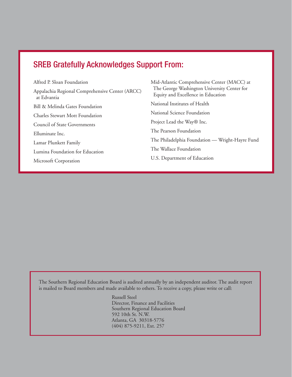## SREB Gratefully Acknowledges Support From:

Alfred P. Sloan Foundation Appalachia Regional Comprehensive Center (ARCC) at Edvantia Bill & Melinda Gates Foundation Charles Stewart Mott Foundation Council of State Governments Elluminate Inc. Lamar Plunkett Family Lumina Foundation for Education Microsoft Corporation

Mid-Atlantic Comprehensive Center (MACC) at The George Washington University Center for Equity and Excellence in Education National Institutes of Health National Science Foundation Project Lead the Way® Inc. The Pearson Foundation The Philadelphia Foundation — Wright-Hayre Fund The Wallace Foundation U.S. Department of Education

The Southern Regional Education Board is audited annually by an independent auditor. The audit report is mailed to Board members and made available to others. To receive a copy, please write or call:

> Russell Steel Director, Finance and Facilities Southern Regional Education Board 592 10th St. N.W. Atlanta, GA 30318-5776 (404) 875-9211, Ext. 257